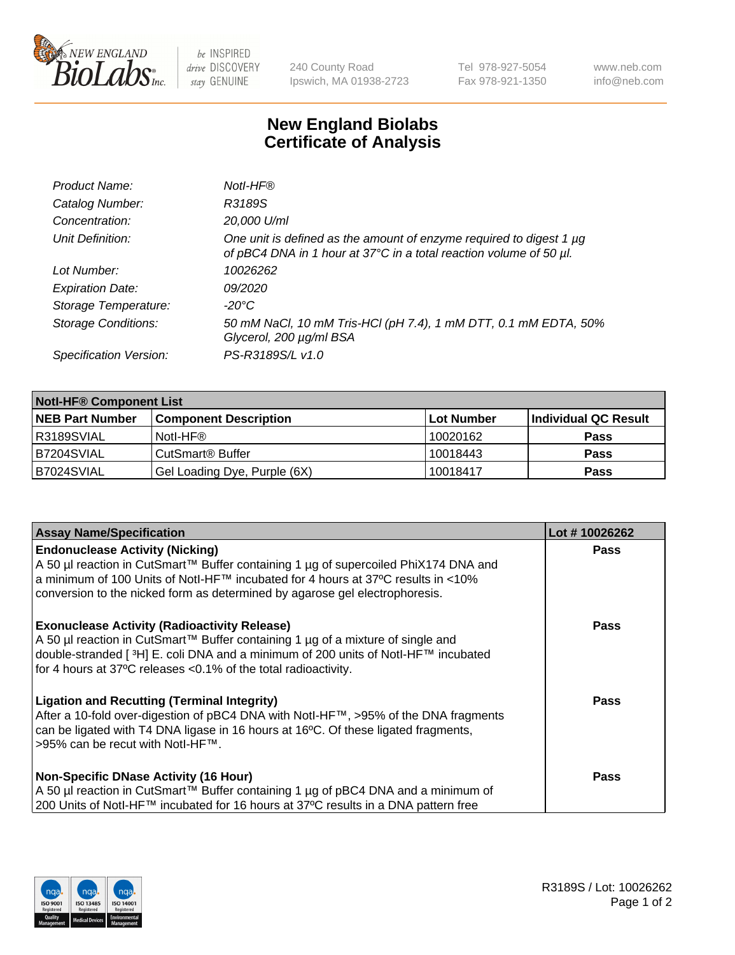

 $be$  INSPIRED drive DISCOVERY stay GENUINE

240 County Road Ipswich, MA 01938-2723 Tel 978-927-5054 Fax 978-921-1350 www.neb.com info@neb.com

## **New England Biolabs Certificate of Analysis**

| Product Name:              | Notl-HF®                                                                                                                                  |
|----------------------------|-------------------------------------------------------------------------------------------------------------------------------------------|
| Catalog Number:            | R3189S                                                                                                                                    |
| Concentration:             | 20,000 U/ml                                                                                                                               |
| Unit Definition:           | One unit is defined as the amount of enzyme required to digest 1 µg<br>of pBC4 DNA in 1 hour at 37°C in a total reaction volume of 50 µl. |
| Lot Number:                | 10026262                                                                                                                                  |
| <b>Expiration Date:</b>    | 09/2020                                                                                                                                   |
| Storage Temperature:       | $-20^{\circ}$ C                                                                                                                           |
| <b>Storage Conditions:</b> | 50 mM NaCl, 10 mM Tris-HCl (pH 7.4), 1 mM DTT, 0.1 mM EDTA, 50%<br>Glycerol, 200 µg/ml BSA                                                |
| Specification Version:     | PS-R3189S/L v1.0                                                                                                                          |

| <b>Notl-HF® Component List</b> |                              |            |                      |  |  |
|--------------------------------|------------------------------|------------|----------------------|--|--|
| <b>NEB Part Number</b>         | <b>Component Description</b> | Lot Number | Individual QC Result |  |  |
| R3189SVIAL                     | Notl-HF®                     | 10020162   | <b>Pass</b>          |  |  |
| B7204SVIAL                     | CutSmart <sup>®</sup> Buffer | 10018443   | <b>Pass</b>          |  |  |
| B7024SVIAL                     | Gel Loading Dye, Purple (6X) | 10018417   | <b>Pass</b>          |  |  |

| <b>Assay Name/Specification</b>                                                                                                                                                                                                                                                                              | Lot #10026262 |
|--------------------------------------------------------------------------------------------------------------------------------------------------------------------------------------------------------------------------------------------------------------------------------------------------------------|---------------|
| <b>Endonuclease Activity (Nicking)</b><br>  A 50 µl reaction in CutSmart™ Buffer containing 1 µg of supercoiled PhiX174 DNA and                                                                                                                                                                              | <b>Pass</b>   |
| a minimum of 100 Units of Notl-HF™ incubated for 4 hours at 37°C results in <10%<br>conversion to the nicked form as determined by agarose gel electrophoresis.                                                                                                                                              |               |
| <b>Exonuclease Activity (Radioactivity Release)</b><br>  A 50 µl reaction in CutSmart™ Buffer containing 1 µg of a mixture of single and<br>double-stranded [ <sup>3</sup> H] E. coli DNA and a minimum of 200 units of Notl-HF™ incubated<br>for 4 hours at 37°C releases <0.1% of the total radioactivity. | Pass          |
| <b>Ligation and Recutting (Terminal Integrity)</b><br>After a 10-fold over-digestion of pBC4 DNA with Notl-HF™, >95% of the DNA fragments<br>can be ligated with T4 DNA ligase in 16 hours at 16 <sup>o</sup> C. Of these ligated fragments,<br>1>95% can be recut with NotI-HF™.                            | Pass          |
| <b>Non-Specific DNase Activity (16 Hour)</b><br>A 50 µl reaction in CutSmart™ Buffer containing 1 µg of pBC4 DNA and a minimum of<br>200 Units of Notl-HF™ incubated for 16 hours at 37°C results in a DNA pattern free                                                                                      | <b>Pass</b>   |